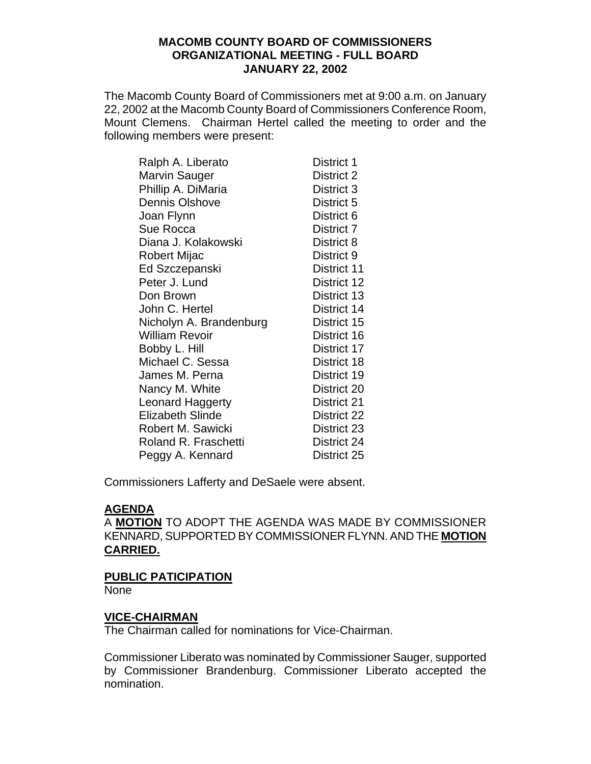### **MACOMB COUNTY BOARD OF COMMISSIONERS ORGANIZATIONAL MEETING - FULL BOARD JANUARY 22, 2002**

The Macomb County Board of Commissioners met at 9:00 a.m. on January 22, 2002 at the Macomb County Board of Commissioners Conference Room, Mount Clemens. Chairman Hertel called the meeting to order and the following members were present:

| Ralph A. Liberato       | District 1  |
|-------------------------|-------------|
| Marvin Sauger           | District 2  |
| Phillip A. DiMaria      | District 3  |
| <b>Dennis Olshove</b>   | District 5  |
| Joan Flynn              | District 6  |
| Sue Rocca               | District 7  |
| Diana J. Kolakowski     | District 8  |
| Robert Mijac            | District 9  |
| Ed Szczepanski          | District 11 |
| Peter J. Lund           | District 12 |
| Don Brown               | District 13 |
| John C. Hertel          | District 14 |
| Nicholyn A. Brandenburg | District 15 |
| <b>William Revoir</b>   | District 16 |
| Bobby L. Hill           | District 17 |
| Michael C. Sessa        | District 18 |
| James M. Perna          | District 19 |
| Nancy M. White          | District 20 |
| <b>Leonard Haggerty</b> | District 21 |
| <b>Elizabeth Slinde</b> | District 22 |
| Robert M. Sawicki       | District 23 |
| Roland R. Fraschetti    | District 24 |
| Peggy A. Kennard        | District 25 |

Commissioners Lafferty and DeSaele were absent.

# **AGENDA**

A **MOTION** TO ADOPT THE AGENDA WAS MADE BY COMMISSIONER KENNARD, SUPPORTED BY COMMISSIONER FLYNN. AND THE **MOTION CARRIED.**

# **PUBLIC PATICIPATION**

**None** 

# **VICE-CHAIRMAN**

The Chairman called for nominations for Vice-Chairman.

Commissioner Liberato was nominated by Commissioner Sauger, supported by Commissioner Brandenburg. Commissioner Liberato accepted the nomination.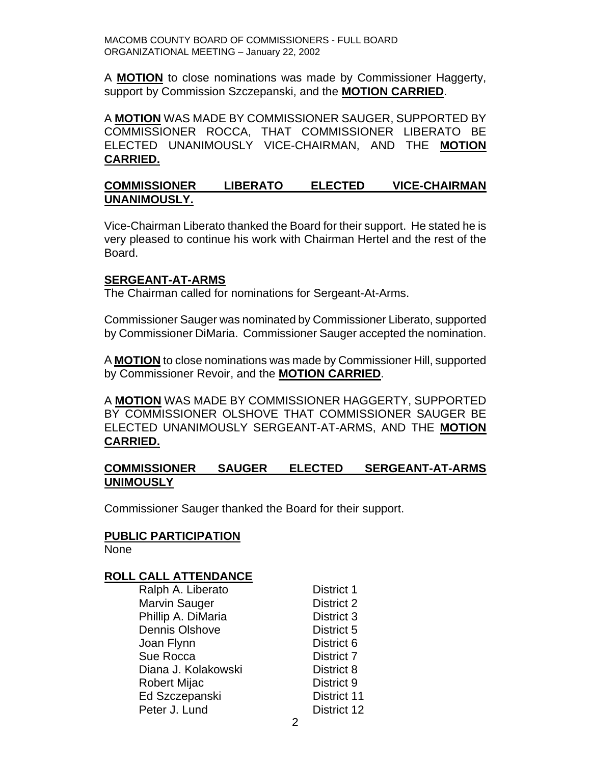A **MOTION** to close nominations was made by Commissioner Haggerty, support by Commission Szczepanski, and the **MOTION CARRIED**.

A **MOTION** WAS MADE BY COMMISSIONER SAUGER, SUPPORTED BY COMMISSIONER ROCCA, THAT COMMISSIONER LIBERATO BE ELECTED UNANIMOUSLY VICE-CHAIRMAN, AND THE **MOTION CARRIED.**

### **COMMISSIONER LIBERATO ELECTED VICE-CHAIRMAN UNANIMOUSLY.**

Vice-Chairman Liberato thanked the Board for their support. He stated he is very pleased to continue his work with Chairman Hertel and the rest of the Board.

### **SERGEANT-AT-ARMS**

The Chairman called for nominations for Sergeant-At-Arms.

Commissioner Sauger was nominated by Commissioner Liberato, supported by Commissioner DiMaria. Commissioner Sauger accepted the nomination.

A **MOTION** to close nominations was made by Commissioner Hill, supported by Commissioner Revoir, and the **MOTION CARRIED**.

A **MOTION** WAS MADE BY COMMISSIONER HAGGERTY, SUPPORTED BY COMMISSIONER OLSHOVE THAT COMMISSIONER SAUGER BE ELECTED UNANIMOUSLY SERGEANT-AT-ARMS, AND THE **MOTION CARRIED.**

### **COMMISSIONER SAUGER ELECTED SERGEANT-AT-ARMS UNIMOUSLY**

Commissioner Sauger thanked the Board for their support.

### **PUBLIC PARTICIPATION**

None

### **ROLL CALL ATTENDANCE**

Ralph A. Liberato **District 1** Marvin Sauger **District 2** Phillip A. DiMaria **District 3** Dennis Olshove District 5 Joan Flynn District 6 Sue Rocca District 7 Diana J. Kolakowski **District 8** Robert Mijac District 9 Ed Szczepanski District 11 Peter J. Lund District 12